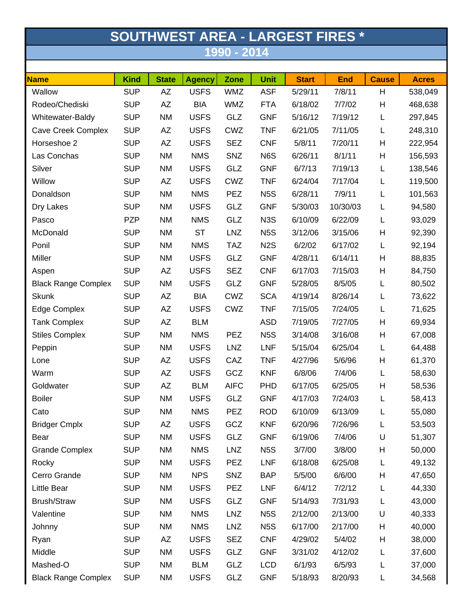| <b>SOUTHWEST AREA - LARGEST FIRES *</b> |             |              |               |             |                  |              |            |              |              |  |  |
|-----------------------------------------|-------------|--------------|---------------|-------------|------------------|--------------|------------|--------------|--------------|--|--|
| 1990 - 2014                             |             |              |               |             |                  |              |            |              |              |  |  |
|                                         |             |              |               |             |                  |              |            |              |              |  |  |
| <b>Name</b>                             | <b>Kind</b> | <b>State</b> | <b>Agency</b> | Zone        | Unit             | <b>Start</b> | <b>End</b> | <b>Cause</b> | <b>Acres</b> |  |  |
| Wallow                                  | <b>SUP</b>  | AZ           | <b>USFS</b>   | <b>WMZ</b>  | <b>ASF</b>       | 5/29/11      | 7/8/11     | H            | 538,049      |  |  |
| Rodeo/Chediski                          | <b>SUP</b>  | AZ           | <b>BIA</b>    | <b>WMZ</b>  | <b>FTA</b>       | 6/18/02      | 7/7/02     | Н            | 468,638      |  |  |
| Whitewater-Baldy                        | <b>SUP</b>  | <b>NM</b>    | <b>USFS</b>   | GLZ         | <b>GNF</b>       | 5/16/12      | 7/19/12    | L            | 297,845      |  |  |
| <b>Cave Creek Complex</b>               | <b>SUP</b>  | AZ           | <b>USFS</b>   | CWZ         | <b>TNF</b>       | 6/21/05      | 7/11/05    | L            | 248,310      |  |  |
| Horseshoe 2                             | <b>SUP</b>  | AZ           | <b>USFS</b>   | <b>SEZ</b>  | <b>CNF</b>       | 5/8/11       | 7/20/11    | H            | 222,954      |  |  |
| Las Conchas                             | <b>SUP</b>  | <b>NM</b>    | <b>NMS</b>    | SNZ         | N6S              | 6/26/11      | 8/1/11     | Н            | 156,593      |  |  |
| Silver                                  | <b>SUP</b>  | <b>NM</b>    | <b>USFS</b>   | GLZ         | <b>GNF</b>       | 6/7/13       | 7/19/13    | L            | 138,546      |  |  |
| Willow                                  | <b>SUP</b>  | AZ           | <b>USFS</b>   | <b>CWZ</b>  | <b>TNF</b>       | 6/24/04      | 7/17/04    | L            | 119,500      |  |  |
| Donaldson                               | <b>SUP</b>  | <b>NM</b>    | <b>NMS</b>    | <b>PEZ</b>  | N <sub>5</sub> S | 6/28/11      | 7/9/11     | L            | 101,563      |  |  |
| Dry Lakes                               | <b>SUP</b>  | <b>NM</b>    | <b>USFS</b>   | GLZ         | <b>GNF</b>       | 5/30/03      | 10/30/03   | L            | 94,580       |  |  |
| Pasco                                   | <b>PZP</b>  | <b>NM</b>    | <b>NMS</b>    | GLZ         | N <sub>3</sub> S | 6/10/09      | 6/22/09    | L            | 93,029       |  |  |
| McDonald                                | <b>SUP</b>  | <b>NM</b>    | <b>ST</b>     | <b>LNZ</b>  | N <sub>5</sub> S | 3/12/06      | 3/15/06    | Н            | 92,390       |  |  |
| Ponil                                   | <b>SUP</b>  | <b>NM</b>    | <b>NMS</b>    | <b>TAZ</b>  | N <sub>2</sub> S | 6/2/02       | 6/17/02    | L            | 92,194       |  |  |
| Miller                                  | <b>SUP</b>  | <b>NM</b>    | <b>USFS</b>   | GLZ         | <b>GNF</b>       | 4/28/11      | 6/14/11    | Н            | 88,835       |  |  |
| Aspen                                   | <b>SUP</b>  | AZ           | <b>USFS</b>   | <b>SEZ</b>  | <b>CNF</b>       | 6/17/03      | 7/15/03    | H            | 84,750       |  |  |
| <b>Black Range Complex</b>              | <b>SUP</b>  | <b>NM</b>    | <b>USFS</b>   | GLZ         | <b>GNF</b>       | 5/28/05      | 8/5/05     | L            | 80,502       |  |  |
| <b>Skunk</b>                            | <b>SUP</b>  | AZ           | <b>BIA</b>    | CWZ         | <b>SCA</b>       | 4/19/14      | 8/26/14    | L            | 73,622       |  |  |
| Edge Complex                            | <b>SUP</b>  | AZ           | <b>USFS</b>   | CWZ         | <b>TNF</b>       | 7/15/05      | 7/24/05    | L            | 71,625       |  |  |
| <b>Tank Complex</b>                     | <b>SUP</b>  | AZ           | <b>BLM</b>    |             | <b>ASD</b>       | 7/19/05      | 7/27/05    | H            | 69,934       |  |  |
| <b>Stiles Complex</b>                   | <b>SUP</b>  | <b>NM</b>    | <b>NMS</b>    | <b>PEZ</b>  | N <sub>5</sub> S | 3/14/08      | 3/16/08    | H            | 67,008       |  |  |
| Peppin                                  | <b>SUP</b>  | <b>NM</b>    | <b>USFS</b>   | <b>LNZ</b>  | <b>LNF</b>       | 5/15/04      | 6/25/04    | L            | 64,488       |  |  |
| Lone                                    | <b>SUP</b>  | AΖ           | <b>USFS</b>   | CAZ         | <b>TNF</b>       | 4/27/96      | 5/6/96     | H            | 61,370       |  |  |
| Warm                                    | <b>SUP</b>  | AZ           | <b>USFS</b>   | GCZ         | <b>KNF</b>       | 6/8/06       | 7/4/06     |              | 58,630       |  |  |
| Goldwater                               | <b>SUP</b>  | AZ           | <b>BLM</b>    | <b>AIFC</b> | <b>PHD</b>       | 6/17/05      | 6/25/05    | H            | 58,536       |  |  |
| <b>Boiler</b>                           | <b>SUP</b>  | NM           | <b>USFS</b>   | GLZ         | <b>GNF</b>       | 4/17/03      | 7/24/03    | L            | 58,413       |  |  |
| Cato                                    | <b>SUP</b>  | <b>NM</b>    | <b>NMS</b>    | <b>PEZ</b>  | <b>ROD</b>       | 6/10/09      | 6/13/09    | L            | 55,080       |  |  |
| <b>Bridger Cmplx</b>                    | <b>SUP</b>  | AZ           | <b>USFS</b>   | GCZ         | <b>KNF</b>       | 6/20/96      | 7/26/96    | L            | 53,503       |  |  |
| Bear                                    | <b>SUP</b>  | <b>NM</b>    | <b>USFS</b>   | <b>GLZ</b>  | <b>GNF</b>       | 6/19/06      | 7/4/06     | U            | 51,307       |  |  |
| <b>Grande Complex</b>                   | <b>SUP</b>  | NM           | <b>NMS</b>    | LNZ         | N <sub>5</sub> S | 3/7/00       | 3/8/00     | H            | 50,000       |  |  |
| Rocky                                   | <b>SUP</b>  | <b>NM</b>    | <b>USFS</b>   | <b>PEZ</b>  | <b>LNF</b>       | 6/18/08      | 6/25/08    | L            | 49,132       |  |  |
| Cerro Grande                            | <b>SUP</b>  | <b>NM</b>    | <b>NPS</b>    | SNZ         | <b>BAP</b>       | 5/5/00       | 6/6/00     | H            | 47,650       |  |  |
| Little Bear                             | <b>SUP</b>  | <b>NM</b>    | <b>USFS</b>   | <b>PEZ</b>  | <b>LNF</b>       | 6/4/12       | 7/2/12     | L            | 44,330       |  |  |
| <b>Brush/Straw</b>                      | <b>SUP</b>  | NM           | <b>USFS</b>   | <b>GLZ</b>  | <b>GNF</b>       | 5/14/93      | 7/31/93    | L            | 43,000       |  |  |
| Valentine                               | <b>SUP</b>  | <b>NM</b>    | <b>NMS</b>    | <b>LNZ</b>  | N <sub>5</sub> S | 2/12/00      | 2/13/00    | U            | 40,333       |  |  |
| Johnny                                  | <b>SUP</b>  | NM           | <b>NMS</b>    | <b>LNZ</b>  | N <sub>5</sub> S | 6/17/00      | 2/17/00    | H            | 40,000       |  |  |
| Ryan                                    | <b>SUP</b>  | AZ           | <b>USFS</b>   | <b>SEZ</b>  | <b>CNF</b>       | 4/29/02      | 5/4/02     | Н            | 38,000       |  |  |
| Middle                                  | <b>SUP</b>  | NM           | <b>USFS</b>   | GLZ         | <b>GNF</b>       | 3/31/02      | 4/12/02    | L            | 37,600       |  |  |
| Mashed-O                                | <b>SUP</b>  | <b>NM</b>    | <b>BLM</b>    | GLZ         | <b>LCD</b>       | 6/1/93       | 6/5/93     | L            | 37,000       |  |  |
| <b>Black Range Complex</b>              | <b>SUP</b>  | <b>NM</b>    | <b>USFS</b>   | GLZ         | <b>GNF</b>       | 5/18/93      | 8/20/93    | L            | 34,568       |  |  |